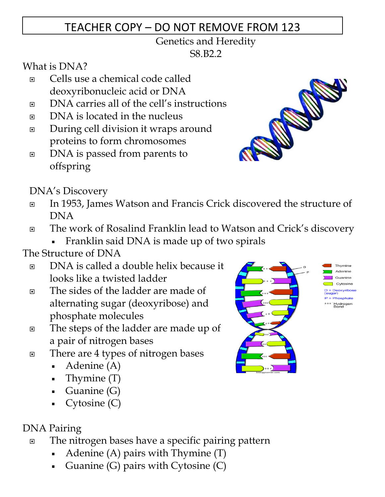# TEACHER COPY – DO NOT REMOVE FROM 123

#### Genetics and Heredity S8.B2.2

What is DNA?

- Cells use a chemical code called deoxyribonucleic acid or DNA
- DNA carries all of the cell's instructions
- DNA is located in the nucleus
- During cell division it wraps around proteins to form chromosomes
- DNA is passed from parents to offspring

DNA's Discovery

- In 1953, James Watson and Francis Crick discovered the structure of DNA
- The work of Rosalind Franklin lead to Watson and Crick's discovery

-Franklin said DNA is made up of two spirals

## The Structure of DNA

- DNA is called a double helix because it looks like a twisted ladder
- The sides of the ladder are made of alternating sugar (deoxyribose) and phosphate molecules
- The steps of the ladder are made up of a pair of nitrogen bases
- There are 4 types of nitrogen bases
	- -Adenine (A)
	- Thymine (T)
	- Guanine (G)
	- Cytosine (C)

### DNA Pairing

- □ The nitrogen bases have a specific pairing pattern
	- -Adenine (A) pairs with Thymine (T)
	- -Guanine (G) pairs with Cytosine (C)



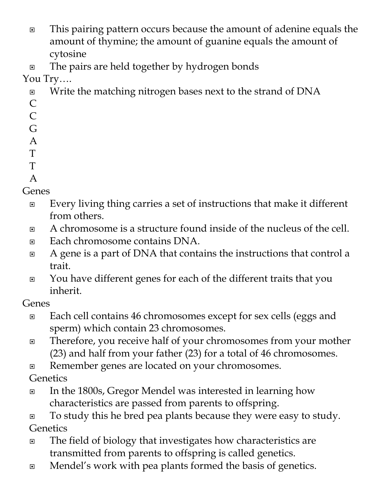- □ This pairing pattern occurs because the amount of adenine equals the amount of thymine; the amount of guanine equals the amount of cytosine
- □ The pairs are held together by hydrogen bonds

You Try….

- □ Write the matching nitrogen bases next to the strand of DNA C
- C
- G
- A
- T
- T
- A

- Genes
	- □ Every living thing carries a set of instructions that make it different from others.
	- A chromosome is a structure found inside of the nucleus of the cell.
	- Each chromosome contains DNA.
	- □ A gene is a part of DNA that contains the instructions that control a trait.
	- □ You have different genes for each of the different traits that you inherit.

Genes

- □ Each cell contains 46 chromosomes except for sex cells (eggs and sperm) which contain 23 chromosomes.
- Therefore, you receive half of your chromosomes from your mother (23) and half from your father (23) for a total of 46 chromosomes.
- Remember genes are located on your chromosomes.

**Genetics** 

□ In the 1800s, Gregor Mendel was interested in learning how characteristics are passed from parents to offspring.

□ To study this he bred pea plants because they were easy to study. **Genetics** 

- □ The field of biology that investigates how characteristics are transmitted from parents to offspring is called genetics.
- Mendel's work with pea plants formed the basis of genetics.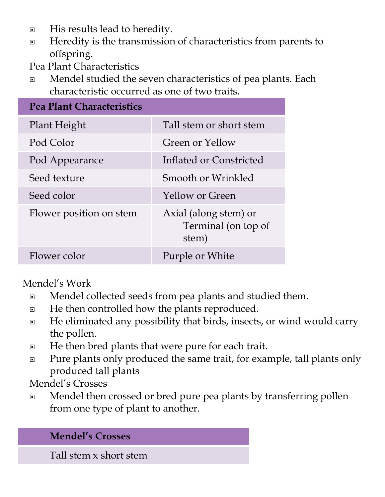- **E** His results lead to heredity.
- □ Heredity is the transmission of characteristics from parents to offspring.
- Pea Plant Characteristics
- □ Mendel studied the seven characteristics of pea plants. Each characteristic occurred as one of two traits.

| <b>Pea Plant Characteristics</b> |                                                       |
|----------------------------------|-------------------------------------------------------|
| Plant Height                     | Tall stem or short stem                               |
| Pod Color                        | Green or Yellow                                       |
| Pod Appearance                   | Inflated or Constricted                               |
| Seed texture                     | Smooth or Wrinkled                                    |
| Seed color                       | <b>Yellow or Green</b>                                |
| Flower position on stem          | Axial (along stem) or<br>Terminal (on top of<br>stem) |
| Flower color                     | Purple or White                                       |

Mendel's Work

- □ Mendel collected seeds from pea plants and studied them.
- $\Box$  He then controlled how the plants reproduced.
- □ He eliminated any possibility that birds, insects, or wind would carry the pollen.
- □ He then bred plants that were pure for each trait.
- □ Pure plants only produced the same trait, for example, tall plants only produced tall plants
- Mendel's Crosses
- □ Mendel then crossed or bred pure pea plants by transferring pollen from one type of plant to another.

#### **Mendel's Crosses**

Tall stem x short stem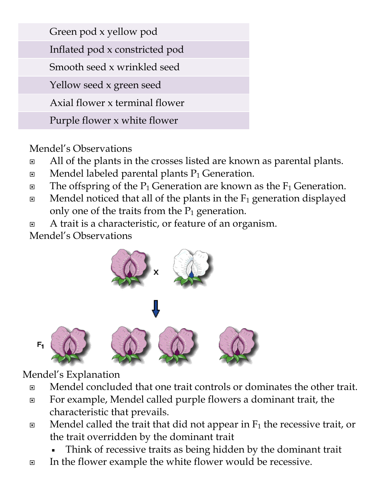| Green pod x yellow pod         |  |
|--------------------------------|--|
| Inflated pod x constricted pod |  |
| Smooth seed x wrinkled seed    |  |
| Yellow seed x green seed       |  |
| Axial flower x terminal flower |  |
| Purple flower x white flower   |  |

### Mendel's Observations

- □ All of the plants in the crosses listed are known as parental plants.
- $\Box$  Mendel labeled parental plants  $P_1$  Generation.
- $\Box$  The offspring of the P<sub>1</sub> Generation are known as the F<sub>1</sub> Generation.
- $\Box$  Mendel noticed that all of the plants in the  $F_1$  generation displayed only one of the traits from the  $P_1$  generation.
- □ A trait is a characteristic, or feature of an organism.

Mendel's Observations



### Mendel's Explanation

 $F_1$ 

- Mendel concluded that one trait controls or dominates the other trait.
- For example, Mendel called purple flowers a dominant trait, the characteristic that prevails.
- $\Box$  Mendel called the trait that did not appear in  $F_1$  the recessive trait, or the trait overridden by the dominant trait
	- -Think of recessive traits as being hidden by the dominant trait
- In the flower example the white flower would be recessive.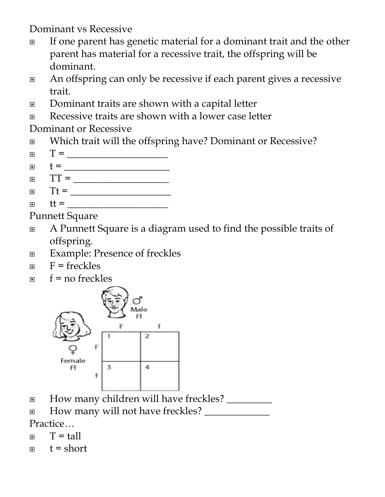Dominant vs Recessive

- □ If one parent has genetic material for a dominant trait and the other parent has material for a recessive trait, the offspring will be dominant.
- □ An offspring can only be recessive if each parent gives a recessive trait.
- □ Dominant traits are shown with a capital letter
- Recessive traits are shown with a lower case letter

Dominant or Recessive

- □ Which trait will the offspring have? Dominant or Recessive?
- T = \_\_\_\_\_\_\_\_\_\_\_\_\_\_\_\_\_\_\_\_
- t = \_\_\_\_\_\_\_\_\_\_\_\_\_\_\_\_\_\_\_\_\_
- TT = \_\_\_\_\_\_\_\_\_\_\_\_\_\_\_\_\_\_\_
- Tt = \_\_\_\_\_\_\_\_\_\_\_\_\_\_\_\_\_\_\_\_
- tt = \_\_\_\_\_\_\_\_\_\_\_\_\_\_\_\_\_\_\_\_

Punnett Square

- A Punnett Square is a diagram used to find the possible traits of offspring.
- **Example: Presence of freckles**
- $F = \text{freckles}$
- $f = no$  freckles



- How many children will have freckles? \_\_\_\_\_\_\_\_\_
- $\Box$  How many will not have freckles? Practice…

$$
\Box \qquad T = \text{tall}
$$

$$
\Box \qquad t = short
$$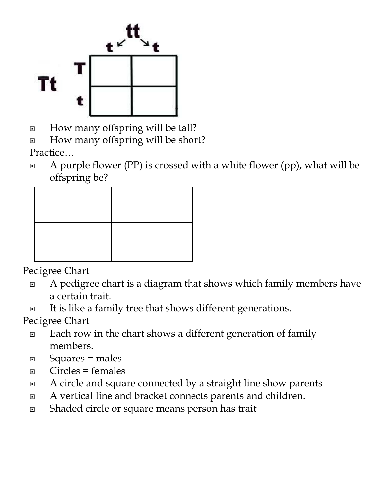

I How many offspring will be tall?

□ How many offspring will be short? <u></u> Practice…

 $\Box$  A purple flower (PP) is crossed with a white flower (pp), what will be offspring be?

Pedigree Chart

- A pedigree chart is a diagram that shows which family members have a certain trait.
- □ It is like a family tree that shows different generations.

Pedigree Chart

- □ Each row in the chart shows a different generation of family members.
- Squares = males
- $\Box$  Circles = females
- □ A circle and square connected by a straight line show parents
- A vertical line and bracket connects parents and children.
- Shaded circle or square means person has trait